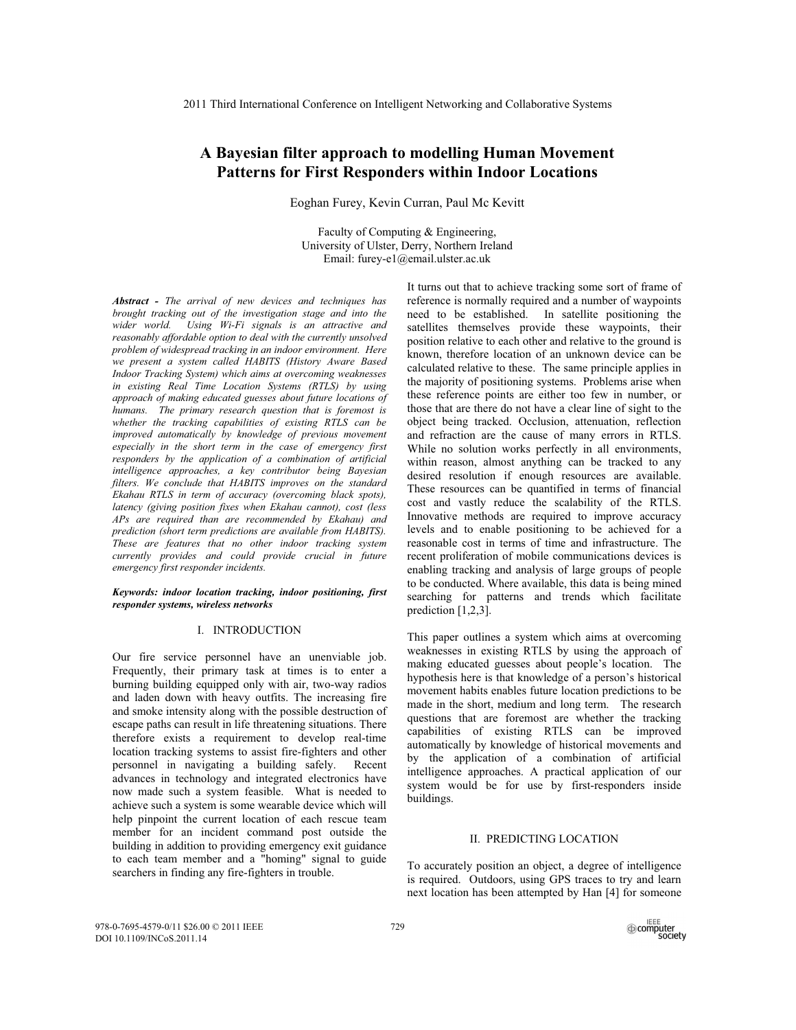# **A Bayesian filter approach to modelling Human Movement Patterns for First Responders within Indoor Locations**

Eoghan Furey, Kevin Curran, Paul Mc Kevitt

Faculty of Computing & Engineering, University of Ulster, Derry, Northern Ireland Email: furey-e1@email.ulster.ac.uk

*Abstract - The arrival of new devices and techniques has brought tracking out of the investigation stage and into the wider world. Using Wi-Fi signals is an attractive and reasonably affordable option to deal with the currently unsolved problem of widespread tracking in an indoor environment. Here we present a system called HABITS (History Aware Based Indoor Tracking System) which aims at overcoming weaknesses in existing Real Time Location Systems (RTLS) by using approach of making educated guesses about future locations of humans. The primary research question that is foremost is whether the tracking capabilities of existing RTLS can be improved automatically by knowledge of previous movement especially in the short term in the case of emergency first responders by the application of a combination of artificial intelligence approaches, a key contributor being Bayesian filters. We conclude that HABITS improves on the standard Ekahau RTLS in term of accuracy (overcoming black spots), latency (giving position fixes when Ekahau cannot), cost (less APs are required than are recommended by Ekahau) and prediction (short term predictions are available from HABITS). These are features that no other indoor tracking system currently provides and could provide crucial in future emergency first responder incidents.* 

#### *Keywords: indoor location tracking, indoor positioning, first responder systems, wireless networks*

#### I. INTRODUCTION

Our fire service personnel have an unenviable job. Frequently, their primary task at times is to enter a burning building equipped only with air, two-way radios and laden down with heavy outfits. The increasing fire and smoke intensity along with the possible destruction of escape paths can result in life threatening situations. There therefore exists a requirement to develop real-time location tracking systems to assist fire-fighters and other personnel in navigating a building safely. Recent advances in technology and integrated electronics have now made such a system feasible. What is needed to achieve such a system is some wearable device which will help pinpoint the current location of each rescue team member for an incident command post outside the building in addition to providing emergency exit guidance to each team member and a "homing" signal to guide searchers in finding any fire-fighters in trouble.

It turns out that to achieve tracking some sort of frame of reference is normally required and a number of waypoints need to be established. In satellite positioning the satellites themselves provide these waypoints, their position relative to each other and relative to the ground is known, therefore location of an unknown device can be calculated relative to these. The same principle applies in the majority of positioning systems. Problems arise when these reference points are either too few in number, or those that are there do not have a clear line of sight to the object being tracked. Occlusion, attenuation, reflection and refraction are the cause of many errors in RTLS. While no solution works perfectly in all environments, within reason, almost anything can be tracked to any desired resolution if enough resources are available. These resources can be quantified in terms of financial cost and vastly reduce the scalability of the RTLS. Innovative methods are required to improve accuracy levels and to enable positioning to be achieved for a reasonable cost in terms of time and infrastructure. The recent proliferation of mobile communications devices is enabling tracking and analysis of large groups of people to be conducted. Where available, this data is being mined searching for patterns and trends which facilitate prediction [1,2,3].

This paper outlines a system which aims at overcoming weaknesses in existing RTLS by using the approach of making educated guesses about people's location. The hypothesis here is that knowledge of a person's historical movement habits enables future location predictions to be made in the short, medium and long term. The research questions that are foremost are whether the tracking capabilities of existing RTLS can be improved automatically by knowledge of historical movements and by the application of a combination of artificial intelligence approaches. A practical application of our system would be for use by first-responders inside buildings.

#### II. PREDICTING LOCATION

To accurately position an object, a degree of intelligence is required. Outdoors, using GPS traces to try and learn next location has been attempted by Han [4] for someone

978-0-7695-4579-0/11 \$26.00 © 2011 IEEE DOI 10.1109/INCoS.2011.14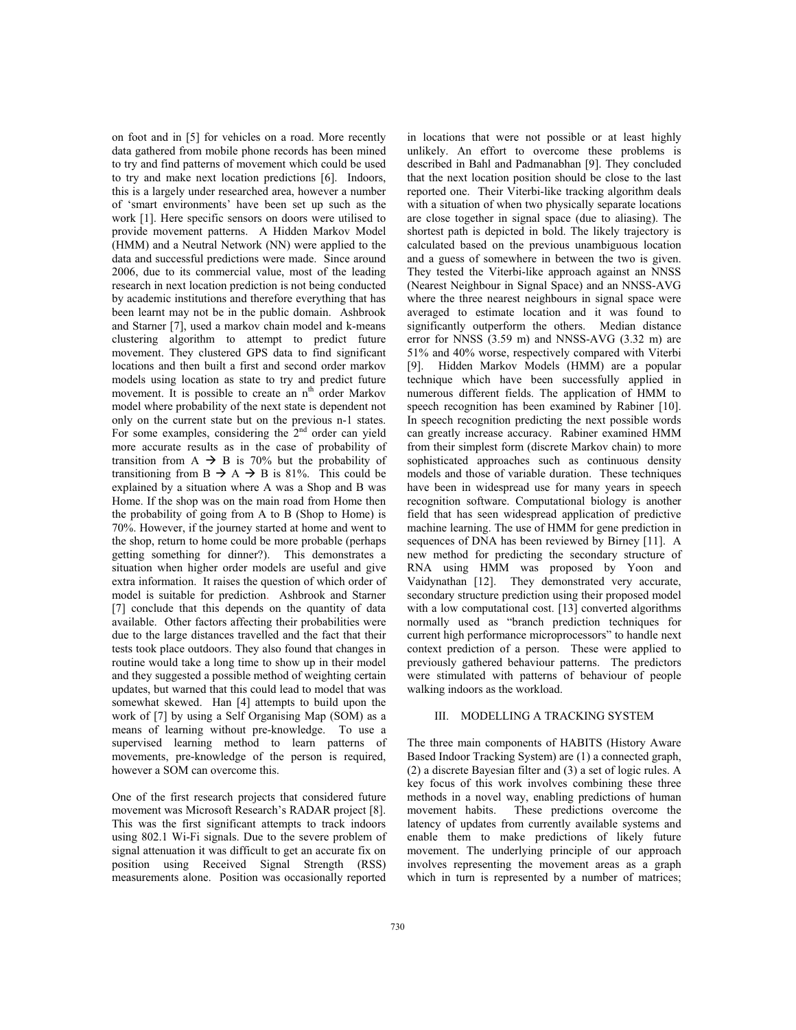on foot and in [5] for vehicles on a road. More recently data gathered from mobile phone records has been mined to try and find patterns of movement which could be used to try and make next location predictions [6]. Indoors, this is a largely under researched area, however a number of 'smart environments' have been set up such as the work [1]. Here specific sensors on doors were utilised to provide movement patterns. A Hidden Markov Model (HMM) and a Neutral Network (NN) were applied to the data and successful predictions were made. Since around 2006, due to its commercial value, most of the leading research in next location prediction is not being conducted by academic institutions and therefore everything that has been learnt may not be in the public domain. Ashbrook and Starner [7], used a markov chain model and k-means clustering algorithm to attempt to predict future movement. They clustered GPS data to find significant locations and then built a first and second order markov models using location as state to try and predict future movement. It is possible to create an n<sup>th</sup> order Markov model where probability of the next state is dependent not only on the current state but on the previous n-1 states. For some examples, considering the  $2<sup>nd</sup>$  order can yield more accurate results as in the case of probability of transition from  $A \rightarrow B$  is 70% but the probability of transitioning from  $B \to A \to B$  is 81%. This could be explained by a situation where A was a Shop and B was Home. If the shop was on the main road from Home then the probability of going from A to B (Shop to Home) is 70%. However, if the journey started at home and went to the shop, return to home could be more probable (perhaps getting something for dinner?). This demonstrates a situation when higher order models are useful and give extra information. It raises the question of which order of model is suitable for prediction. Ashbrook and Starner [7] conclude that this depends on the quantity of data available. Other factors affecting their probabilities were due to the large distances travelled and the fact that their tests took place outdoors. They also found that changes in routine would take a long time to show up in their model and they suggested a possible method of weighting certain updates, but warned that this could lead to model that was somewhat skewed. Han [4] attempts to build upon the work of [7] by using a Self Organising Map (SOM) as a means of learning without pre-knowledge. To use a supervised learning method to learn patterns of movements, pre-knowledge of the person is required, however a SOM can overcome this.

One of the first research projects that considered future movement was Microsoft Research's RADAR project [8]. This was the first significant attempts to track indoors using 802.1 Wi-Fi signals. Due to the severe problem of signal attenuation it was difficult to get an accurate fix on position using Received Signal Strength (RSS) measurements alone. Position was occasionally reported in locations that were not possible or at least highly unlikely. An effort to overcome these problems is described in Bahl and Padmanabhan [9]. They concluded that the next location position should be close to the last reported one. Their Viterbi-like tracking algorithm deals with a situation of when two physically separate locations are close together in signal space (due to aliasing). The shortest path is depicted in bold. The likely trajectory is calculated based on the previous unambiguous location and a guess of somewhere in between the two is given. They tested the Viterbi-like approach against an NNSS (Nearest Neighbour in Signal Space) and an NNSS-AVG where the three nearest neighbours in signal space were averaged to estimate location and it was found to significantly outperform the others. Median distance error for NNSS (3.59 m) and NNSS-AVG (3.32 m) are 51% and 40% worse, respectively compared with Viterbi [9]. Hidden Markov Models (HMM) are a popular technique which have been successfully applied in numerous different fields. The application of HMM to speech recognition has been examined by Rabiner [10]. In speech recognition predicting the next possible words can greatly increase accuracy. Rabiner examined HMM from their simplest form (discrete Markov chain) to more sophisticated approaches such as continuous density models and those of variable duration. These techniques have been in widespread use for many years in speech recognition software. Computational biology is another field that has seen widespread application of predictive machine learning. The use of HMM for gene prediction in sequences of DNA has been reviewed by Birney [11]. A new method for predicting the secondary structure of RNA using HMM was proposed by Yoon and Vaidynathan [12]. They demonstrated very accurate, secondary structure prediction using their proposed model with a low computational cost. [13] converted algorithms normally used as "branch prediction techniques for current high performance microprocessors" to handle next context prediction of a person. These were applied to previously gathered behaviour patterns. The predictors were stimulated with patterns of behaviour of people walking indoors as the workload.

#### III. MODELLING A TRACKING SYSTEM

The three main components of HABITS (History Aware Based Indoor Tracking System) are (1) a connected graph, (2) a discrete Bayesian filter and (3) a set of logic rules. A key focus of this work involves combining these three methods in a novel way, enabling predictions of human movement habits. These predictions overcome the latency of updates from currently available systems and enable them to make predictions of likely future movement. The underlying principle of our approach involves representing the movement areas as a graph which in turn is represented by a number of matrices;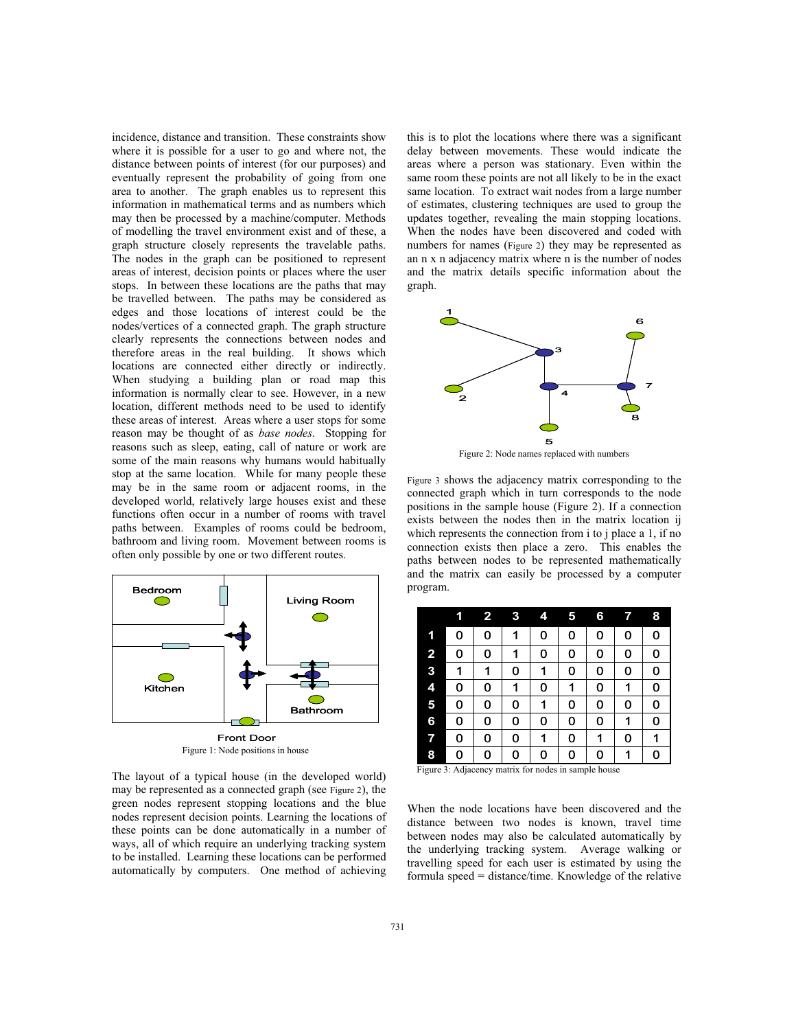incidence, distance and transition. These constraints show where it is possible for a user to go and where not, the distance between points of interest (for our purposes) and eventually represent the probability of going from one area to another. The graph enables us to represent this information in mathematical terms and as numbers which may then be processed by a machine/computer. Methods of modelling the travel environment exist and of these, a graph structure closely represents the travelable paths. The nodes in the graph can be positioned to represent areas of interest, decision points or places where the user stops. In between these locations are the paths that may be travelled between. The paths may be considered as edges and those locations of interest could be the nodes/vertices of a connected graph. The graph structure clearly represents the connections between nodes and therefore areas in the real building. It shows which locations are connected either directly or indirectly. When studying a building plan or road map this information is normally clear to see. However, in a new location, different methods need to be used to identify these areas of interest. Areas where a user stops for some reason may be thought of as *base nodes*. Stopping for reasons such as sleep, eating, call of nature or work are some of the main reasons why humans would habitually stop at the same location. While for many people these may be in the same room or adjacent rooms, in the developed world, relatively large houses exist and these functions often occur in a number of rooms with travel paths between. Examples of rooms could be bedroom, bathroom and living room. Movement between rooms is often only possible by one or two different routes.



Figure 1: Node positions in house

The layout of a typical house (in the developed world) may be represented as a connected graph (see Figure 2), the green nodes represent stopping locations and the blue nodes represent decision points. Learning the locations of these points can be done automatically in a number of ways, all of which require an underlying tracking system to be installed. Learning these locations can be performed automatically by computers. One method of achieving

this is to plot the locations where there was a significant delay between movements. These would indicate the areas where a person was stationary. Even within the same room these points are not all likely to be in the exact same location. To extract wait nodes from a large number of estimates, clustering techniques are used to group the updates together, revealing the main stopping locations. When the nodes have been discovered and coded with numbers for names (Figure 2) they may be represented as an n x n adjacency matrix where n is the number of nodes and the matrix details specific information about the graph.



Figure 2: Node names replaced with numbers

Figure 3 shows the adjacency matrix corresponding to the connected graph which in turn corresponds to the node positions in the sample house (Figure 2). If a connection exists between the nodes then in the matrix location ij which represents the connection from i to j place a 1, if no connection exists then place a zero. This enables the paths between nodes to be represented mathematically and the matrix can easily be processed by a computer program.

|                                                      |   | 2 | 3 |   | 5 | 6 |   | 8            |
|------------------------------------------------------|---|---|---|---|---|---|---|--------------|
|                                                      | 0 | O |   |   | O | 0 | O | 0            |
| 2                                                    | 0 | 0 |   | 0 | O | 0 | 0 | 0            |
| 3                                                    | 1 |   | ი |   | O | 0 | 0 | 0            |
| 4                                                    | 0 | 0 |   | 0 |   | 0 |   | 0            |
| 5                                                    | 0 | 0 | 0 |   | 0 | 0 | 0 | 0            |
| 6                                                    | 0 | 0 | 0 | 0 | 0 | 0 | 1 | 0            |
| 7                                                    | 0 | 0 | 0 | 1 | O | 1 | 0 |              |
| 8                                                    | 0 | ი | ი | ი | ŋ | ი |   | $\mathbf{0}$ |
| Figure 3: Adjacency matrix for nodes in sample house |   |   |   |   |   |   |   |              |

When the node locations have been discovered and the distance between two nodes is known, travel time between nodes may also be calculated automatically by the underlying tracking system. Average walking or travelling speed for each user is estimated by using the formula speed = distance/time. Knowledge of the relative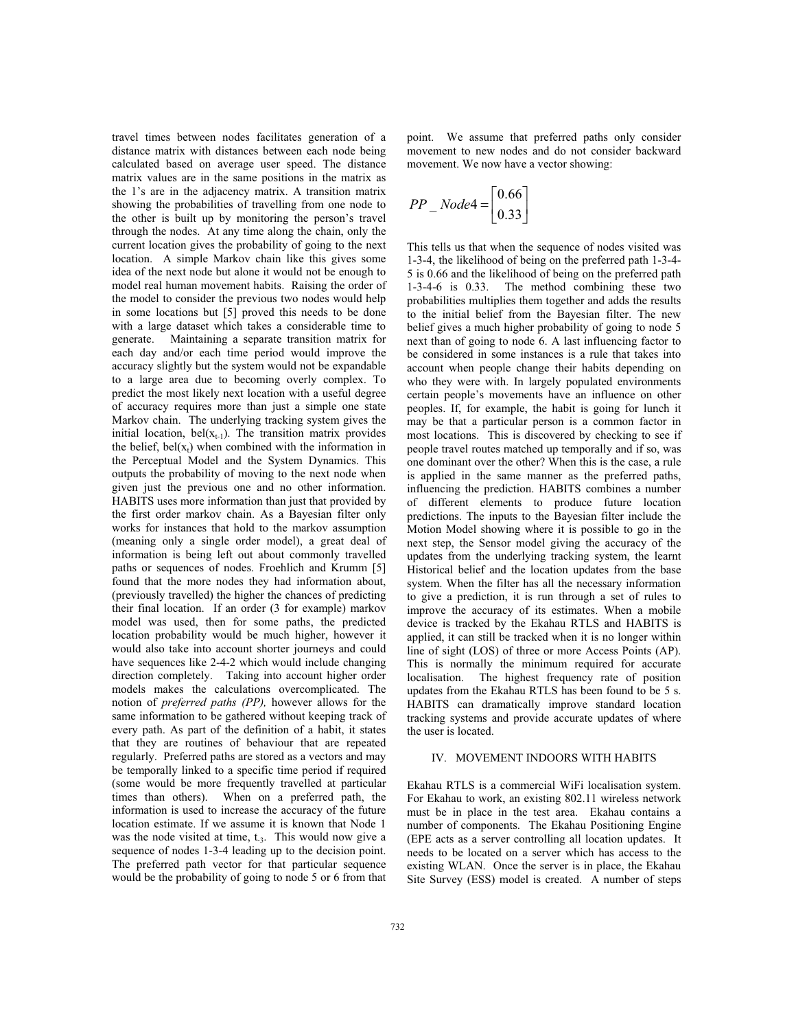travel times between nodes facilitates generation of a distance matrix with distances between each node being calculated based on average user speed. The distance matrix values are in the same positions in the matrix as the 1's are in the adjacency matrix. A transition matrix showing the probabilities of travelling from one node to the other is built up by monitoring the person's travel through the nodes. At any time along the chain, only the current location gives the probability of going to the next location. A simple Markov chain like this gives some idea of the next node but alone it would not be enough to model real human movement habits. Raising the order of the model to consider the previous two nodes would help in some locations but [5] proved this needs to be done with a large dataset which takes a considerable time to generate. Maintaining a separate transition matrix for each day and/or each time period would improve the accuracy slightly but the system would not be expandable to a large area due to becoming overly complex. To predict the most likely next location with a useful degree of accuracy requires more than just a simple one state Markov chain. The underlying tracking system gives the initial location, bel $(x_{t-1})$ . The transition matrix provides the belief, bel $(x<sub>t</sub>)$  when combined with the information in the Perceptual Model and the System Dynamics. This outputs the probability of moving to the next node when given just the previous one and no other information. HABITS uses more information than just that provided by the first order markov chain. As a Bayesian filter only works for instances that hold to the markov assumption (meaning only a single order model), a great deal of information is being left out about commonly travelled paths or sequences of nodes. Froehlich and Krumm [5] found that the more nodes they had information about, (previously travelled) the higher the chances of predicting their final location. If an order (3 for example) markov model was used, then for some paths, the predicted location probability would be much higher, however it would also take into account shorter journeys and could have sequences like 2-4-2 which would include changing direction completely. Taking into account higher order models makes the calculations overcomplicated. The notion of *preferred paths (PP),* however allows for the same information to be gathered without keeping track of every path. As part of the definition of a habit, it states that they are routines of behaviour that are repeated regularly. Preferred paths are stored as a vectors and may be temporally linked to a specific time period if required (some would be more frequently travelled at particular times than others). When on a preferred path, the information is used to increase the accuracy of the future location estimate. If we assume it is known that Node 1 was the node visited at time,  $t<sub>3</sub>$ . This would now give a sequence of nodes 1-3-4 leading up to the decision point. The preferred path vector for that particular sequence would be the probability of going to node 5 or 6 from that point. We assume that preferred paths only consider movement to new nodes and do not consider backward movement. We now have a vector showing:

$$
PP \_Node4 = \begin{bmatrix} 0.66 \\ 0.33 \end{bmatrix}
$$

This tells us that when the sequence of nodes visited was 1-3-4, the likelihood of being on the preferred path 1-3-4- 5 is 0.66 and the likelihood of being on the preferred path 1-3-4-6 is 0.33. The method combining these two probabilities multiplies them together and adds the results to the initial belief from the Bayesian filter. The new belief gives a much higher probability of going to node 5 next than of going to node 6. A last influencing factor to be considered in some instances is a rule that takes into account when people change their habits depending on who they were with. In largely populated environments certain people's movements have an influence on other peoples. If, for example, the habit is going for lunch it may be that a particular person is a common factor in most locations. This is discovered by checking to see if people travel routes matched up temporally and if so, was one dominant over the other? When this is the case, a rule is applied in the same manner as the preferred paths, influencing the prediction. HABITS combines a number of different elements to produce future location predictions. The inputs to the Bayesian filter include the Motion Model showing where it is possible to go in the next step, the Sensor model giving the accuracy of the updates from the underlying tracking system, the learnt Historical belief and the location updates from the base system. When the filter has all the necessary information to give a prediction, it is run through a set of rules to improve the accuracy of its estimates. When a mobile device is tracked by the Ekahau RTLS and HABITS is applied, it can still be tracked when it is no longer within line of sight (LOS) of three or more Access Points (AP). This is normally the minimum required for accurate localisation. The highest frequency rate of position updates from the Ekahau RTLS has been found to be 5 s. HABITS can dramatically improve standard location tracking systems and provide accurate updates of where the user is located.

## IV. MOVEMENT INDOORS WITH HABITS

Ekahau RTLS is a commercial WiFi localisation system. For Ekahau to work, an existing 802.11 wireless network must be in place in the test area. Ekahau contains a number of components. The Ekahau Positioning Engine (EPE acts as a server controlling all location updates. It needs to be located on a server which has access to the existing WLAN. Once the server is in place, the Ekahau Site Survey (ESS) model is created. A number of steps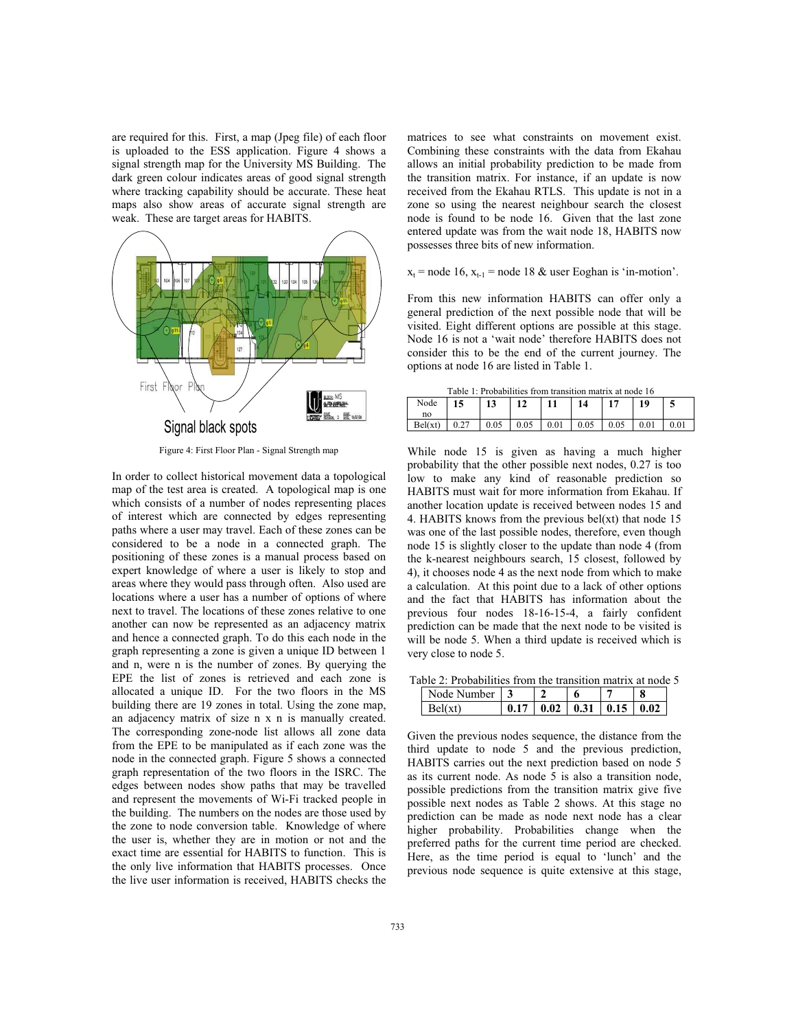are required for this. First, a map (Jpeg file) of each floor is uploaded to the ESS application. Figure 4 shows a signal strength map for the University MS Building. The dark green colour indicates areas of good signal strength where tracking capability should be accurate. These heat maps also show areas of accurate signal strength are weak. These are target areas for HABITS.



Figure 4: First Floor Plan - Signal Strength map

In order to collect historical movement data a topological map of the test area is created. A topological map is one which consists of a number of nodes representing places of interest which are connected by edges representing paths where a user may travel. Each of these zones can be considered to be a node in a connected graph. The positioning of these zones is a manual process based on expert knowledge of where a user is likely to stop and areas where they would pass through often. Also used are locations where a user has a number of options of where next to travel. The locations of these zones relative to one another can now be represented as an adjacency matrix and hence a connected graph. To do this each node in the graph representing a zone is given a unique ID between 1 and n, were n is the number of zones. By querying the EPE the list of zones is retrieved and each zone is allocated a unique ID. For the two floors in the MS building there are 19 zones in total. Using the zone map, an adjacency matrix of size n x n is manually created. The corresponding zone-node list allows all zone data from the EPE to be manipulated as if each zone was the node in the connected graph. Figure 5 shows a connected graph representation of the two floors in the ISRC. The edges between nodes show paths that may be travelled and represent the movements of Wi-Fi tracked people in the building. The numbers on the nodes are those used by the zone to node conversion table. Knowledge of where the user is, whether they are in motion or not and the exact time are essential for HABITS to function. This is the only live information that HABITS processes. Once the live user information is received, HABITS checks the matrices to see what constraints on movement exist. Combining these constraints with the data from Ekahau allows an initial probability prediction to be made from the transition matrix. For instance, if an update is now received from the Ekahau RTLS. This update is not in a zone so using the nearest neighbour search the closest node is found to be node 16. Given that the last zone entered update was from the wait node 18, HABITS now possesses three bits of new information.

 $x_t$  = node 16,  $x_{t-1}$  = node 18 & user Eoghan is 'in-motion'.

From this new information HABITS can offer only a general prediction of the next possible node that will be visited. Eight different options are possible at this stage. Node 16 is not a 'wait node' therefore HABITS does not consider this to be the end of the current journey. The options at node 16 are listed in Table 1.

| Table 1: Probabilities from transition matrix at node 16 |
|----------------------------------------------------------|
|----------------------------------------------------------|

| Node    | 15   | $\vert$ 13       | $\vert$ 12 | $\perp$ 11 | $\vert$ 14  | $\sqrt{17}$ | <b>19</b> |      |
|---------|------|------------------|------------|------------|-------------|-------------|-----------|------|
| no      |      |                  |            |            |             |             |           |      |
| Bel(xt) | 0.27 | $0.05$ 0.05 0.01 |            |            | $0.05$ 0.05 |             | 0.01      | 0.01 |
|         |      |                  |            |            |             |             |           |      |

While node 15 is given as having a much higher probability that the other possible next nodes, 0.27 is too low to make any kind of reasonable prediction so HABITS must wait for more information from Ekahau. If another location update is received between nodes 15 and 4. HABITS knows from the previous bel(xt) that node 15 was one of the last possible nodes, therefore, even though node 15 is slightly closer to the update than node 4 (from the k-nearest neighbours search, 15 closest, followed by 4), it chooses node 4 as the next node from which to make a calculation. At this point due to a lack of other options and the fact that HABITS has information about the previous four nodes 18-16-15-4, a fairly confident prediction can be made that the next node to be visited is will be node 5. When a third update is received which is very close to node 5.

Table 2: Probabilities from the transition matrix at node 5

| mher |      |                 |      |
|------|------|-----------------|------|
|      | A A2 | $0.31 \pm 0.15$ | 0.02 |

Given the previous nodes sequence, the distance from the third update to node 5 and the previous prediction, HABITS carries out the next prediction based on node 5 as its current node. As node 5 is also a transition node, possible predictions from the transition matrix give five possible next nodes as Table 2 shows. At this stage no prediction can be made as node next node has a clear higher probability. Probabilities change when the preferred paths for the current time period are checked. Here, as the time period is equal to 'lunch' and the previous node sequence is quite extensive at this stage,